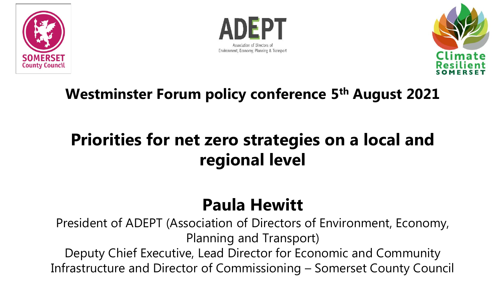





### **Westminster Forum policy conference 5th August 2021**

### **Priorities for net zero strategies on a local and regional level**

### **Paula Hewitt**

President of ADEPT (Association of Directors of Environment, Economy, Planning and Transport) Deputy Chief Executive, Lead Director for Economic and Community Infrastructure and Director of Commissioning – Somerset County Council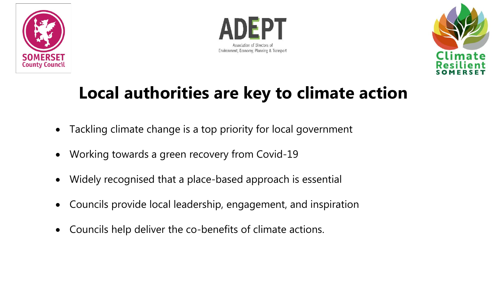





### **Local authorities are key to climate action**

- Tackling climate change is a top priority for local government
- Working towards a green recovery from Covid-19
- Widely recognised that a place-based approach is essential
- Councils provide local leadership, engagement, and inspiration
- Councils help deliver the co-benefits of climate actions.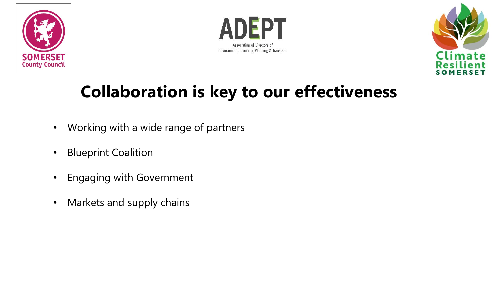





### **Collaboration is key to our effectiveness**

- Working with a wide range of partners
- Blueprint Coalition
- Engaging with Government
- Markets and supply chains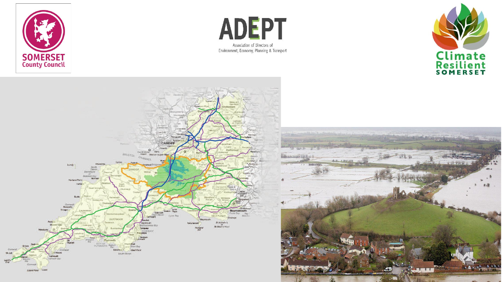







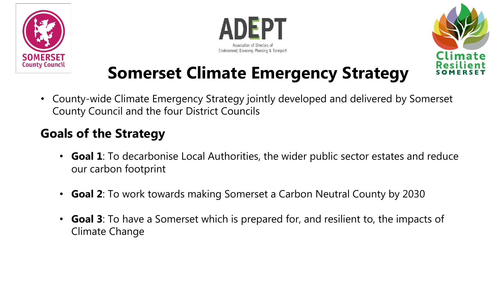





### **Somerset Climate Emergency Strategy**

• County-wide Climate Emergency Strategy jointly developed and delivered by Somerset County Council and the four District Councils

### **Goals of the Strategy**

- **Goal 1**: To decarbonise Local Authorities, the wider public sector estates and reduce our carbon footprint
- **Goal 2**: To work towards making Somerset a Carbon Neutral County by 2030
- **Goal 3**: To have a Somerset which is prepared for, and resilient to, the impacts of Climate Change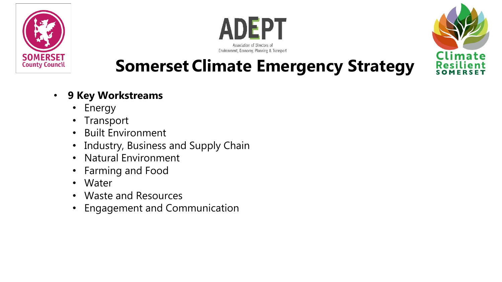





### **Somerset Climate Emergency Strategy**

#### • **9 Key Workstreams**

- Energy
- Transport
- Built Environment
- Industry, Business and Supply Chain
- Natural Environment
- Farming and Food
- Water
- Waste and Resources
- Engagement and Communication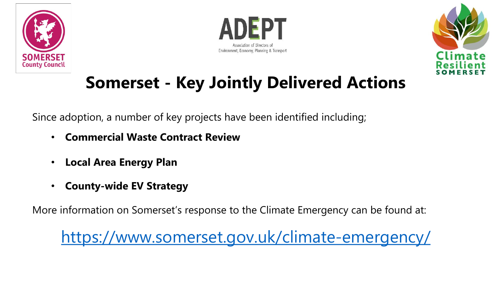





## **Somerset - Key Jointly Delivered Actions**

Since adoption, a number of key projects have been identified including;

- **Commercial Waste Contract Review**
- **Local Area Energy Plan**
- **County-wide EV Strategy**

More information on Somerset's response to the Climate Emergency can be found at:

<https://www.somerset.gov.uk/climate-emergency/>